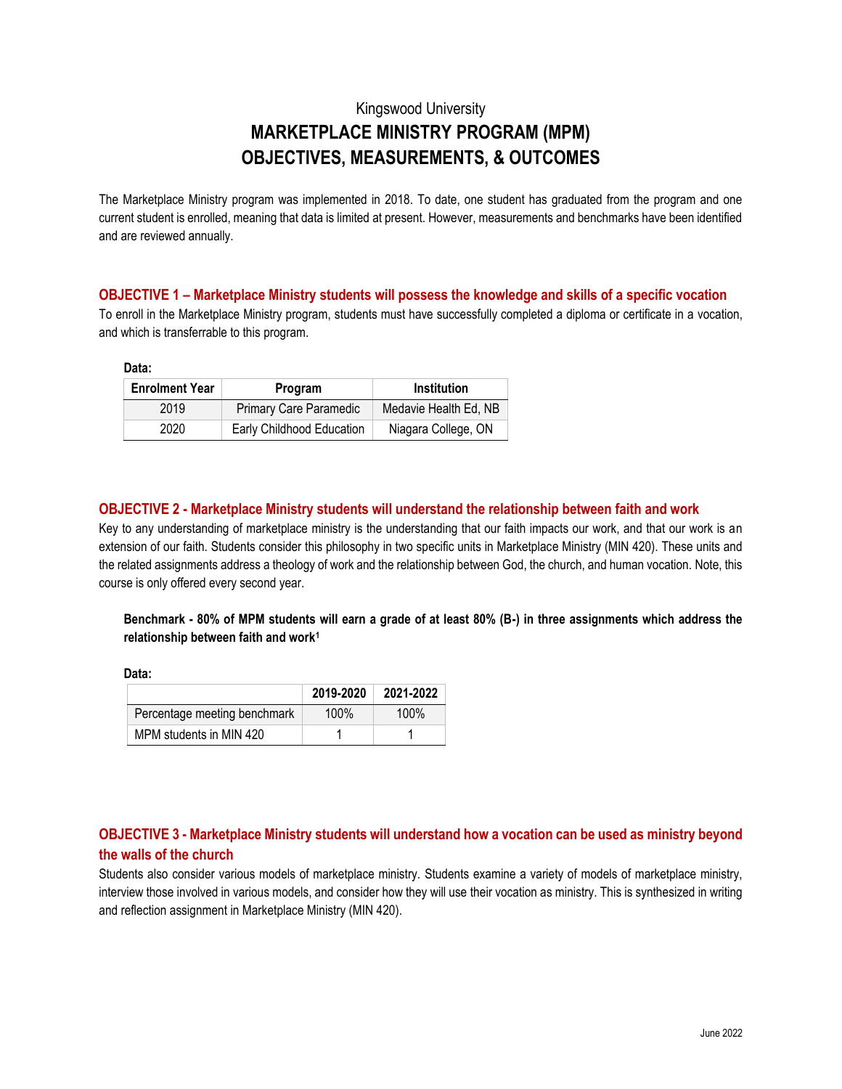# Kingswood University **MARKETPLACE MINISTRY PROGRAM (MPM) OBJECTIVES, MEASUREMENTS, & OUTCOMES**

The Marketplace Ministry program was implemented in 2018. To date, one student has graduated from the program and one current student is enrolled, meaning that data is limited at present. However, measurements and benchmarks have been identified and are reviewed annually.

#### **OBJECTIVE 1 – Marketplace Ministry students will possess the knowledge and skills of a specific vocation**

To enroll in the Marketplace Ministry program, students must have successfully completed a diploma or certificate in a vocation, and which is transferrable to this program.

**Data:**

| <b>Enrolment Year</b> | Program                       | Institution           |  |
|-----------------------|-------------------------------|-----------------------|--|
| 2019                  | <b>Primary Care Paramedic</b> | Medavie Health Ed, NB |  |
| 2020                  | Early Childhood Education     | Niagara College, ON   |  |

## **OBJECTIVE 2 - Marketplace Ministry students will understand the relationship between faith and work**

Key to any understanding of marketplace ministry is the understanding that our faith impacts our work, and that our work is an extension of our faith. Students consider this philosophy in two specific units in Marketplace Ministry (MIN 420). These units and the related assignments address a theology of work and the relationship between God, the church, and human vocation. Note, this course is only offered every second year.

## **Benchmark - 80% of MPM students will earn a grade of at least 80% (B-) in three assignments which address the relationship between faith and work<sup>1</sup>**

**Data:**

|                              | 2019-2020 | 2021-2022 |
|------------------------------|-----------|-----------|
| Percentage meeting benchmark | $100\%$   | $100\%$   |
| MPM students in MIN 420      |           |           |

## **OBJECTIVE 3 - Marketplace Ministry students will understand how a vocation can be used as ministry beyond the walls of the church**

Students also consider various models of marketplace ministry. Students examine a variety of models of marketplace ministry, interview those involved in various models, and consider how they will use their vocation as ministry. This is synthesized in writing and reflection assignment in Marketplace Ministry (MIN 420).